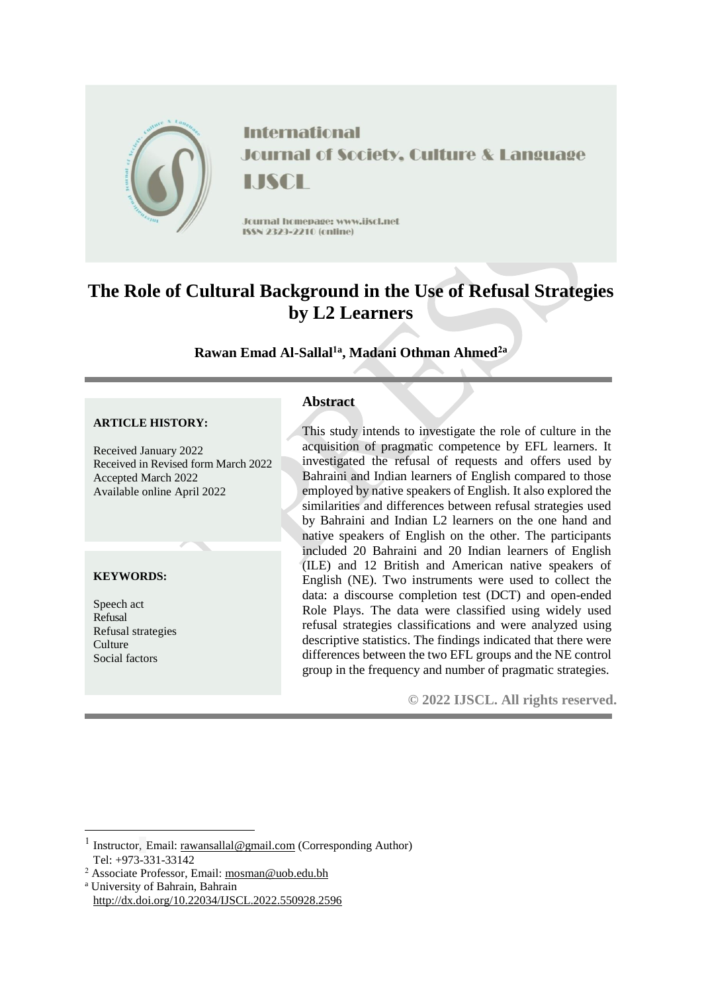

# **The Role of Cultural Background in the Use of Refusal Strategies by L2 Learners**

# **Rawan Emad Al-Sallal1a , Madani Othman Ahmed2a**

#### **ARTICLE HISTORY:**

Received January 2022 Received in Revised form March 2022 Accepted March 2022 Available online April 2022

### **KEYWORDS:**

Speech act Refusal Refusal strategies **Culture** Social factors

<u>.</u>

### **Abstract**

This study intends to investigate the role of culture in the acquisition of pragmatic competence by EFL learners. It investigated the refusal of requests and offers used by Bahraini and Indian learners of English compared to those employed by native speakers of English. It also explored the similarities and differences between refusal strategies used by Bahraini and Indian L2 learners on the one hand and native speakers of English on the other. The participants included 20 Bahraini and 20 Indian learners of English (ILE) and 12 British and American native speakers of English (NE). Two instruments were used to collect the data: a discourse completion test (DCT) and open-ended Role Plays. The data were classified using widely used refusal strategies classifications and were analyzed using descriptive statistics. The findings indicated that there were differences between the two EFL groups and the NE control group in the frequency and number of pragmatic strategies.

**© 2022 IJSCL. All rights reserved.**

<sup>1</sup> Instructor, Email: [rawansallal@gmail.com](mailto:rawansallal@gmail.com) (Corresponding Author) Tel: +973-331-33142

<sup>2</sup> Associate Professor, Email: [mosman@uob.edu.bh](mailto:raamadani@gmail.com)

<sup>a</sup> University of Bahrain, Bahrain http://dx.doi.org/10.22034/IJSCL.2022.550928.2596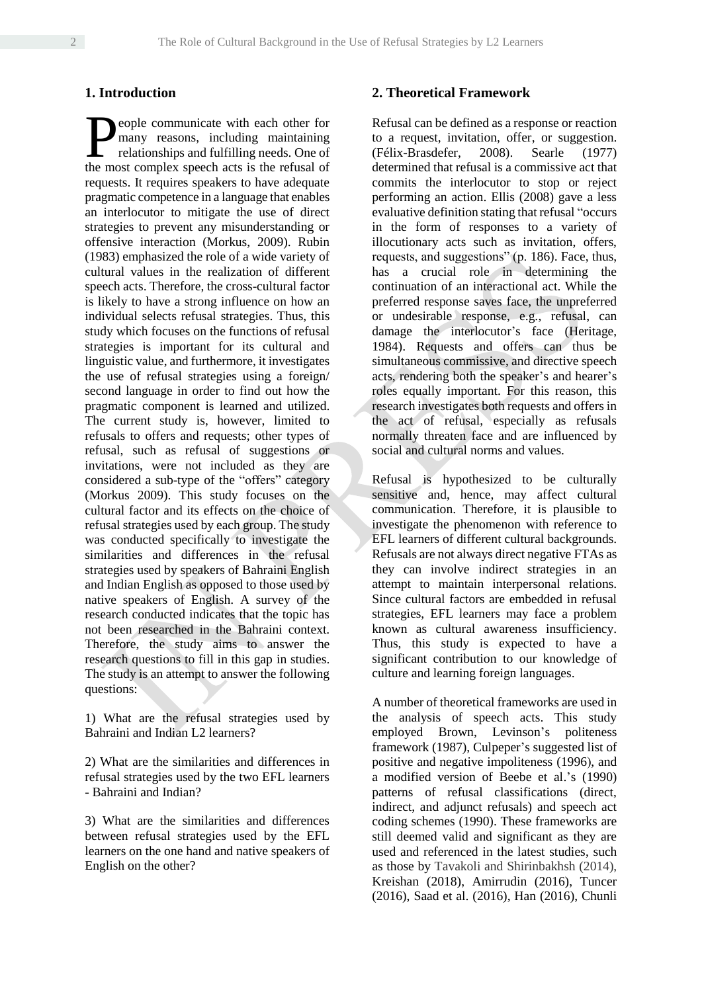## **1. Introduction**

eople communicate with each other for many reasons, including maintaining relationships and fulfilling needs. One of **Example 3** communicate with each other for many reasons, including maintaining relationships and fulfilling needs. One of the most complex speech acts is the refusal of requests. It requires speakers to have adequate pragmatic competence in a language that enables an interlocutor to mitigate the use of direct strategies to prevent any misunderstanding or offensive interaction (Morkus, 2009). Rubin (1983) emphasized the role of a wide variety of cultural values in the realization of different speech acts. Therefore, the cross-cultural factor is likely to have a strong influence on how an individual selects refusal strategies. Thus, this study which focuses on the functions of refusal strategies is important for its cultural and linguistic value, and furthermore, it investigates the use of refusal strategies using a foreign/ second language in order to find out how the pragmatic component is learned and utilized. The current study is, however, limited to refusals to offers and requests; other types of refusal, such as refusal of suggestions or invitations, were not included as they are considered a sub-type of the "offers" category (Morkus 2009). This study focuses on the cultural factor and its effects on the choice of refusal strategies used by each group. The study was conducted specifically to investigate the similarities and differences in the refusal strategies used by speakers of Bahraini English and Indian English as opposed to those used by native speakers of English. A survey of the research conducted indicates that the topic has not been researched in the Bahraini context. Therefore, the study aims to answer the research questions to fill in this gap in studies. The study is an attempt to answer the following questions:

1) What are the refusal strategies used by Bahraini and Indian L2 learners?

2) What are the similarities and differences in refusal strategies used by the two EFL learners - Bahraini and Indian?

3) What are the similarities and differences between refusal strategies used by the EFL learners on the one hand and native speakers of English on the other?

## **2. Theoretical Framework**

Refusal can be defined as a response or reaction to a request, invitation, offer, or suggestion. (Félix-Brasdefer, 2008). Searle (1977) determined that refusal is a commissive act that commits the interlocutor to stop or reject performing an action. Ellis (2008) gave a less evaluative definition stating that refusal "occurs in the form of responses to a variety of illocutionary acts such as invitation, offers, requests, and suggestions" (p. 186). Face, thus, has a crucial role in determining the continuation of an interactional act. While the preferred response saves face, the unpreferred or undesirable response, e.g., refusal, can damage the interlocutor's face (Heritage, 1984). Requests and offers can thus be simultaneous commissive, and directive speech acts, rendering both the speaker's and hearer's roles equally important. For this reason, this research investigates both requests and offers in the act of refusal, especially as refusals normally threaten face and are influenced by social and cultural norms and values.

Refusal is hypothesized to be culturally sensitive and, hence, may affect cultural communication. Therefore, it is plausible to investigate the phenomenon with reference to EFL learners of different cultural backgrounds. Refusals are not always direct negative FTAs as they can involve indirect strategies in an attempt to maintain interpersonal relations. Since cultural factors are embedded in refusal strategies, EFL learners may face a problem known as cultural awareness insufficiency. Thus, this study is expected to have a significant contribution to our knowledge of culture and learning foreign languages.

A number of theoretical frameworks are used in the analysis of speech acts. This study employed Brown, Levinson's politeness framework (1987), Culpeper's suggested list of positive and negative impoliteness (1996), and a modified version of Beebe et al.'s (1990) patterns of refusal classifications (direct, indirect, and adjunct refusals) and speech act coding schemes (1990). These frameworks are still deemed valid and significant as they are used and referenced in the latest studies, such as those by Tavakoli and Shirinbakhsh (2014), Kreishan (2018), Amirrudin (2016), Tuncer (2016), Saad et al. (2016), Han (2016), Chunli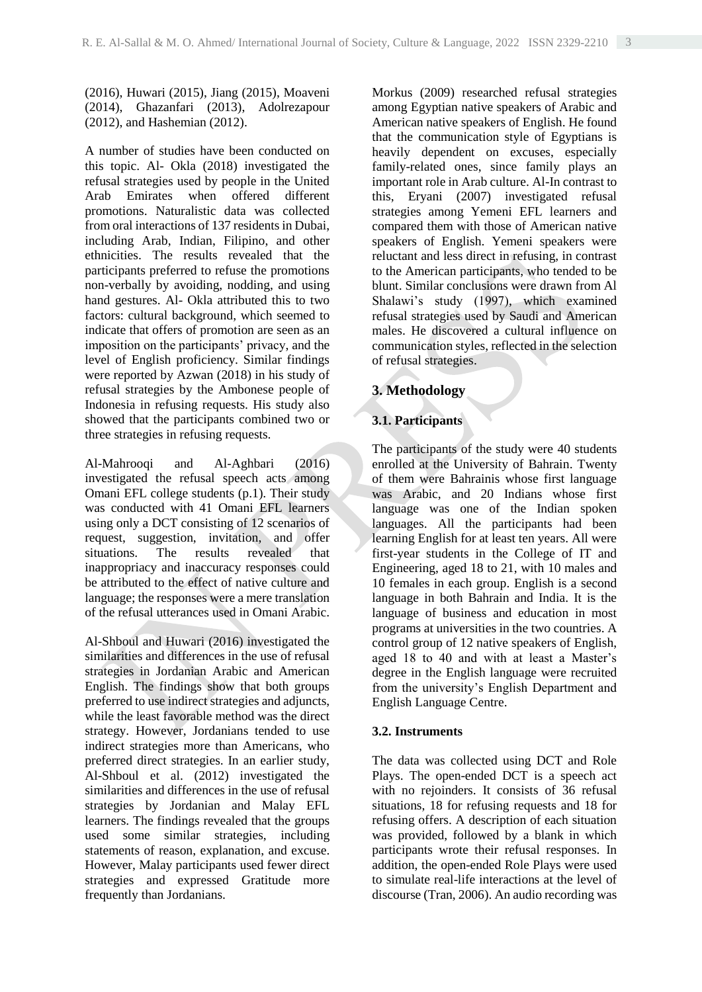(2016), Huwari (2015), Jiang (2015), Moaveni (2014), Ghazanfari (2013), Adolrezapour (2012), and Hashemian (2012).

A number of studies have been conducted on this topic. Al- Okla (2018) investigated the refusal strategies used by people in the United Arab Emirates when offered different promotions. Naturalistic data was collected from oral interactions of 137 residents in Dubai, including Arab, Indian, Filipino, and other ethnicities. The results revealed that the participants preferred to refuse the promotions non-verbally by avoiding, nodding, and using hand gestures. Al- Okla attributed this to two factors: cultural background, which seemed to indicate that offers of promotion are seen as an imposition on the participants' privacy, and the level of English proficiency. Similar findings were reported by Azwan (2018) in his study of refusal strategies by the Ambonese people of Indonesia in refusing requests. His study also showed that the participants combined two or three strategies in refusing requests.

Al-Mahrooqi and Al-Aghbari (2016) investigated the refusal speech acts among Omani EFL college students (p.1). Their study was conducted with 41 Omani EFL learners using only a DCT consisting of 12 scenarios of request, suggestion, invitation, and offer situations. The results revealed that inappropriacy and inaccuracy responses could be attributed to the effect of native culture and language; the responses were a mere translation of the refusal utterances used in Omani Arabic.

Al-Shboul and Huwari (2016) investigated the similarities and differences in the use of refusal strategies in Jordanian Arabic and American English. The findings show that both groups preferred to use indirect strategies and adjuncts, while the least favorable method was the direct strategy. However, Jordanians tended to use indirect strategies more than Americans, who preferred direct strategies. In an earlier study, Al-Shboul et al. (2012) investigated the similarities and differences in the use of refusal strategies by Jordanian and Malay EFL learners. The findings revealed that the groups used some similar strategies, including statements of reason, explanation, and excuse. However, Malay participants used fewer direct strategies and expressed Gratitude more frequently than Jordanians.

Morkus (2009) researched refusal strategies among Egyptian native speakers of Arabic and American native speakers of English. He found that the communication style of Egyptians is heavily dependent on excuses, especially family-related ones, since family plays an important role in Arab culture. Al-In contrast to this, Eryani (2007) investigated refusal strategies among Yemeni EFL learners and compared them with those of American native speakers of English. Yemeni speakers were reluctant and less direct in refusing, in contrast to the American participants, who tended to be blunt. Similar conclusions were drawn from Al Shalawi's study (1997), which examined refusal strategies used by Saudi and American males. He discovered a cultural influence on communication styles, reflected in the selection of refusal strategies.

# **3. Methodology**

# **3.1. Participants**

The participants of the study were 40 students enrolled at the University of Bahrain. Twenty of them were Bahrainis whose first language was Arabic, and 20 Indians whose first language was one of the Indian spoken languages. All the participants had been learning English for at least ten years. All were first-year students in the College of IT and Engineering, aged 18 to 21, with 10 males and 10 females in each group. English is a second language in both Bahrain and India. It is the language of business and education in most programs at universities in the two countries. A control group of 12 native speakers of English, aged 18 to 40 and with at least a Master's degree in the English language were recruited from the university's English Department and English Language Centre.

## **3.2. Instruments**

The data was collected using DCT and Role Plays. The open-ended DCT is a speech act with no rejoinders. It consists of 36 refusal situations, 18 for refusing requests and 18 for refusing offers. A description of each situation was provided, followed by a blank in which participants wrote their refusal responses. In addition, the open-ended Role Plays were used to simulate real-life interactions at the level of discourse (Tran, 2006). An audio recording was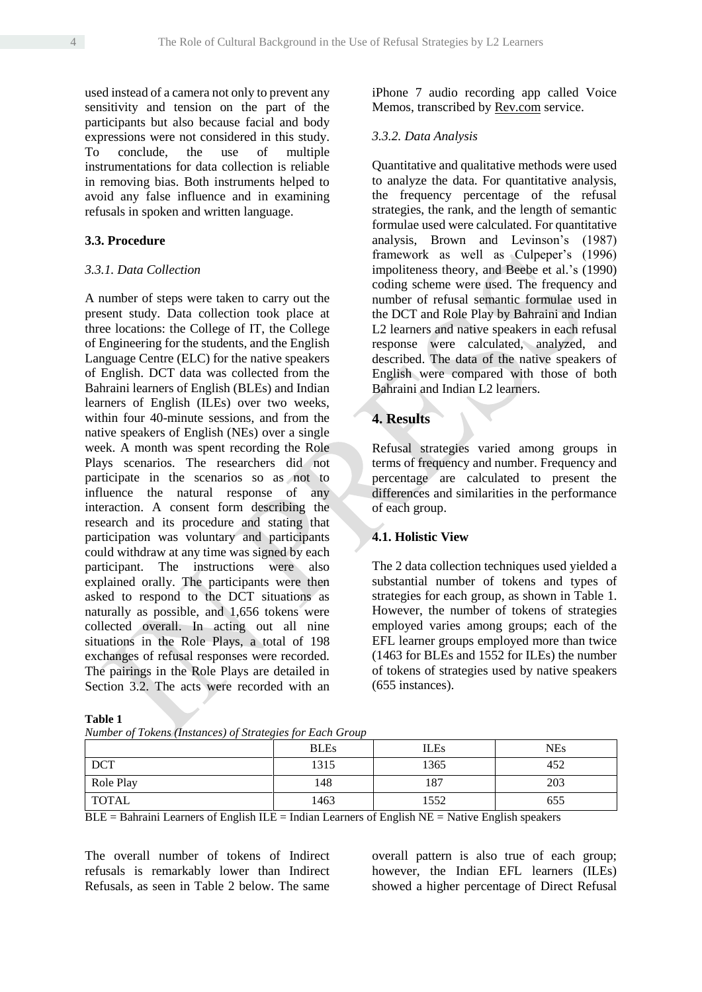used instead of a camera not only to prevent any sensitivity and tension on the part of the participants but also because facial and body expressions were not considered in this study. To conclude, the use of multiple instrumentations for data collection is reliable in removing bias. Both instruments helped to avoid any false influence and in examining refusals in spoken and written language.

#### **3.3. Procedure**

#### *3.3.1. Data Collection*

A number of steps were taken to carry out the present study. Data collection took place at three locations: the College of IT, the College of Engineering for the students, and the English Language Centre (ELC) for the native speakers of English. DCT data was collected from the Bahraini learners of English (BLEs) and Indian learners of English (ILEs) over two weeks, within four 40-minute sessions, and from the native speakers of English (NEs) over a single week. A month was spent recording the Role Plays scenarios. The researchers did not participate in the scenarios so as not to influence the natural response of any interaction. A consent form describing the research and its procedure and stating that participation was voluntary and participants could withdraw at any time was signed by each participant. The instructions were also explained orally. The participants were then asked to respond to the DCT situations as naturally as possible, and 1,656 tokens were collected overall. In acting out all nine situations in the Role Plays, a total of 198 exchanges of refusal responses were recorded. The pairings in the Role Plays are detailed in Section 3.2. The acts were recorded with an

#### **Table 1**

|              | $\cdot$     |             |            |
|--------------|-------------|-------------|------------|
|              | <b>BLEs</b> | <b>ILEs</b> | <b>NEs</b> |
| <b>DCT</b>   | 1315        | 1365        | 452        |
| Role Play    | 148         | 187         | 203        |
| <b>TOTAL</b> | 1463        | 1552        | 655        |

*Number of Tokens (Instances) of Strategies for Each Group*

iPhone 7 audio recording app called Voice Memos, transcribed by [Rev.com](http://rev.com/) service.

### *3.3.2. Data Analysis*

Quantitative and qualitative methods were used to analyze the data. For quantitative analysis, the frequency percentage of the refusal strategies, the rank, and the length of semantic formulae used were calculated. For quantitative analysis, Brown and Levinson's (1987) framework as well as Culpeper's (1996) impoliteness theory, and Beebe et al.'s (1990) coding scheme were used. The frequency and number of refusal semantic formulae used in the DCT and Role Play by Bahraini and Indian L2 learners and native speakers in each refusal response were calculated, analyzed, and described. The data of the native speakers of English were compared with those of both Bahraini and Indian L2 learners.

# **4. Results**

Refusal strategies varied among groups in terms of frequency and number. Frequency and percentage are calculated to present the differences and similarities in the performance of each group.

## **4.1. Holistic View**

The 2 data collection techniques used yielded a substantial number of tokens and types of strategies for each group, as shown in Table 1. However, the number of tokens of strategies employed varies among groups; each of the EFL learner groups employed more than twice (1463 for BLEs and 1552 for ILEs) the number of tokens of strategies used by native speakers (655 instances).

 $BLE =$ Bahraini Learners of English ILE = Indian Learners of English NE = Native English speakers

The overall number of tokens of Indirect refusals is remarkably lower than Indirect Refusals, as seen in Table 2 below. The same

overall pattern is also true of each group; however, the Indian EFL learners (ILEs) showed a higher percentage of Direct Refusal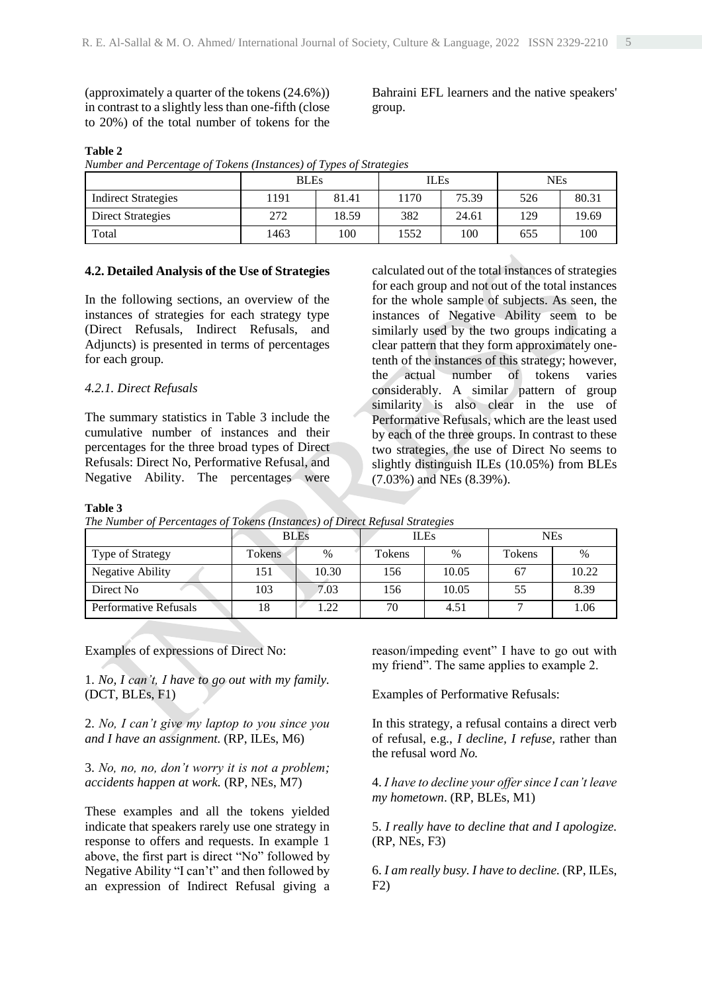(approximately a quarter of the tokens (24.6%)) in contrast to a slightly less than one-fifth (close to 20%) of the total number of tokens for the

Bahraini EFL learners and the native speakers' group.

#### **Table 2**

*Number and Percentage of Tokens (Instances) of Types of Strategies*

|                            | <b>BLEs</b> |       | ILEs |       | <b>NEs</b> |       |
|----------------------------|-------------|-------|------|-------|------------|-------|
| <b>Indirect Strategies</b> | 191         | 81.41 | 170  | 75.39 | 526        | 80.31 |
| Direct Strategies          | 272         | 18.59 | 382  | 24.61 | 129        | 19.69 |
| Total                      | 1463        | 100   | 1552 | 100   | 655        | 100   |

#### **4.2. Detailed Analysis of the Use of Strategies**

In the following sections, an overview of the instances of strategies for each strategy type (Direct Refusals, Indirect Refusals, and Adjuncts) is presented in terms of percentages for each group.

### *4.2.1. Direct Refusals*

The summary statistics in Table 3 include the cumulative number of instances and their percentages for the three broad types of Direct Refusals: Direct No, Performative Refusal, and Negative Ability. The percentages were

calculated out of the total instances of strategies for each group and not out of the total instances for the whole sample of subjects. As seen, the instances of Negative Ability seem to be similarly used by the two groups indicating a clear pattern that they form approximately onetenth of the instances of this strategy; however, the actual number of tokens varies considerably. A similar pattern of group similarity is also clear in the use of Performative Refusals, which are the least used by each of the three groups. In contrast to these two strategies, the use of Direct No seems to slightly distinguish ILEs (10.05%) from BLEs (7.03%) and NEs (8.39%).

#### **Table 3**

|                              |        | <b>BLEs</b> |        | <b>ILEs</b> | <b>NEs</b> |       |  |
|------------------------------|--------|-------------|--------|-------------|------------|-------|--|
| Type of Strategy             | Tokens | $\%$        | Tokens | $\%$        | Tokens     | %     |  |
| Negative Ability             | 151    | 10.30       | 156    | 10.05       | 67         | 10.22 |  |
| Direct No                    | 103    | 7.03        | 156    | 10.05       | 55         | 8.39  |  |
| <b>Performative Refusals</b> | 18     | 1.22        | 70     | 4.51        |            | 1.06  |  |

Examples of expressions of Direct No:

1. *No, I can't, I have to go out with my family.*  (DCT, BLEs, F1)

2. *No, I can't give my laptop to you since you and I have an assignment.* (RP, ILEs, M6)

3. *No, no, no, don't worry it is not a problem; accidents happen at work.* (RP, NEs, M7)

These examples and all the tokens yielded indicate that speakers rarely use one strategy in response to offers and requests. In example 1 above, the first part is direct "No" followed by Negative Ability "I can't" and then followed by an expression of Indirect Refusal giving a reason/impeding event" I have to go out with my friend". The same applies to example 2.

Examples of Performative Refusals:

In this strategy, a refusal contains a direct verb of refusal, e.g., *I decline, I refuse,* rather than the refusal word *No.*

4. *I have to decline your offer since I can't leave my hometown*. (RP, BLEs, M1)

5. *I really have to decline that and I apologize.* (RP, NEs, F3)

6. *I am really busy. I have to decline.* (RP, ILEs, F2)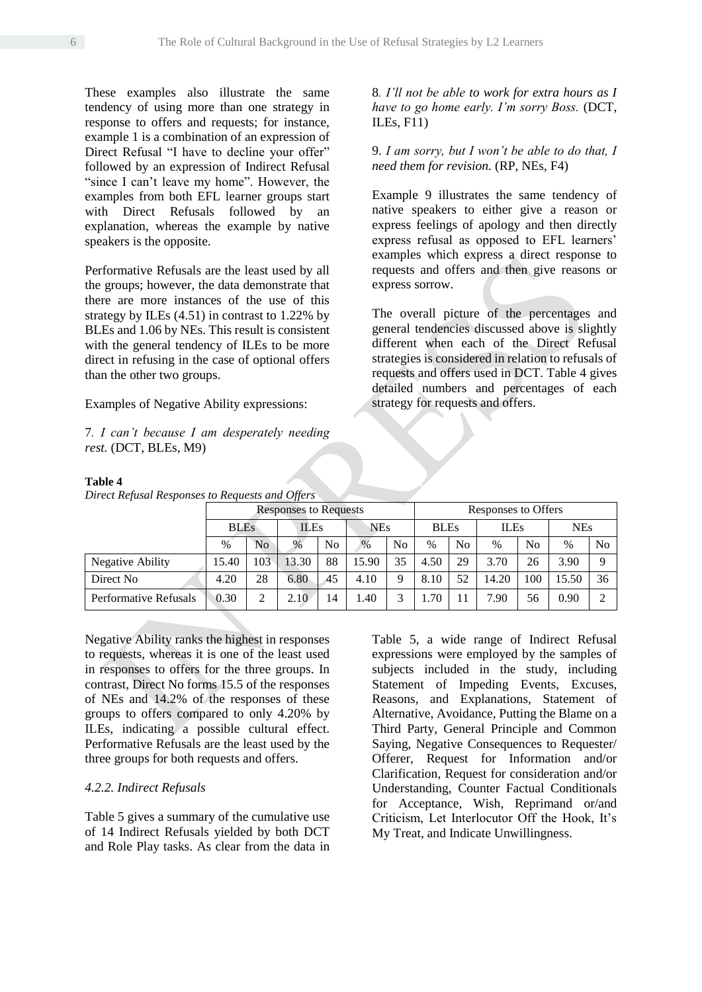These examples also illustrate the same tendency of using more than one strategy in response to offers and requests; for instance, example 1 is a combination of an expression of Direct Refusal "I have to decline your offer" followed by an expression of Indirect Refusal "since I can't leave my home". However, the examples from both EFL learner groups start with Direct Refusals followed by an explanation, whereas the example by native speakers is the opposite.

Performative Refusals are the least used by all the groups; however, the data demonstrate that there are more instances of the use of this strategy by ILEs (4.51) in contrast to 1.22% by BLEs and 1.06 by NEs. This result is consistent with the general tendency of ILEs to be more direct in refusing in the case of optional offers than the other two groups.

Examples of Negative Ability expressions:

7*. I can't because I am desperately needing rest.* (DCT, BLEs, M9)

8*. I'll not be able to work for extra hours as I have to go home early. I'm sorry Boss.* (DCT, ILEs, F11)

9. *I am sorry, but I won't be able to do that, I need them for revision.* (RP, NEs, F4)

Example 9 illustrates the same tendency of native speakers to either give a reason or express feelings of apology and then directly express refusal as opposed to EFL learners' examples which express a direct response to requests and offers and then give reasons or express sorrow.

The overall picture of the percentages and general tendencies discussed above is slightly different when each of the Direct Refusal strategies is considered in relation to refusals of requests and offers used in DCT. Table 4 gives detailed numbers and percentages of each strategy for requests and offers.

|                              |             |     | <b>Responses to Requests</b> |                |            | Responses to Offers |             |                |             |                |            |    |  |
|------------------------------|-------------|-----|------------------------------|----------------|------------|---------------------|-------------|----------------|-------------|----------------|------------|----|--|
|                              | <b>BLEs</b> |     | <b>ILEs</b>                  |                | <b>NEs</b> |                     | <b>BLEs</b> |                | <b>ILEs</b> |                | <b>NEs</b> |    |  |
|                              | $\%$        | No  | $\frac{0}{0}$                | N <sub>0</sub> | $\%$       | No                  | $\%$        | N <sub>0</sub> | $\%$        | N <sub>o</sub> | $\%$       | No |  |
| <b>Negative Ability</b>      | 15.40       | 103 | 13.30                        | 88             | 15.90      | 35                  | 4.50        | 29             | 3.70        | 26             | 3.90       |    |  |
| Direct No.                   | 4.20        | 28  | 6.80                         | 45             | 4.10       | 9                   | 8.10        | 52             | 14.20       | 100            | 15.50      | 36 |  |
| <b>Performative Refusals</b> | 0.30        |     | 2.10                         | 14             | .40        | 3                   | 1.70        |                | 7.90        | 56             | 0.90       |    |  |

**Table 4**

*Direct Refusal Responses to Requests and Offers*

Negative Ability ranks the highest in responses to requests, whereas it is one of the least used in responses to offers for the three groups. In contrast, Direct No forms 15.5 of the responses of NEs and 14.2% of the responses of these groups to offers compared to only 4.20% by ILEs, indicating a possible cultural effect. Performative Refusals are the least used by the three groups for both requests and offers.

# *4.2.2. Indirect Refusals*

Table 5 gives a summary of the cumulative use of 14 Indirect Refusals yielded by both DCT and Role Play tasks. As clear from the data in Table 5, a wide range of Indirect Refusal expressions were employed by the samples of subjects included in the study, including Statement of Impeding Events, Excuses, Reasons, and Explanations, Statement of Alternative, Avoidance, Putting the Blame on a Third Party, General Principle and Common Saying, Negative Consequences to Requester/ Offerer, Request for Information and/or Clarification, Request for consideration and/or Understanding, Counter Factual Conditionals for Acceptance, Wish, Reprimand or/and Criticism, Let Interlocutor Off the Hook, It's My Treat, and Indicate Unwillingness.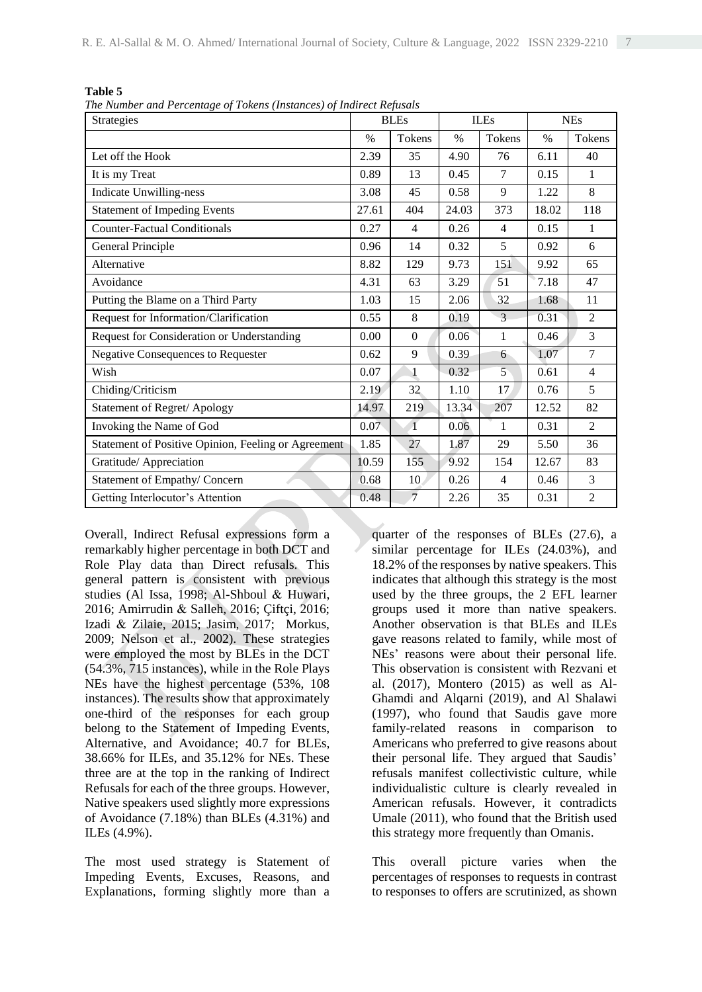| Π<br>H<br>٠<br>v |  |
|------------------|--|
|------------------|--|

*The Number and Percentage of Tokens (Instances) of Indirect Refusals*

| o<br>$\cdot$<br>Strategies                          |       | <b>BLEs</b>    |       | <b>ILEs</b>    |       | <b>NEs</b>     |
|-----------------------------------------------------|-------|----------------|-------|----------------|-------|----------------|
|                                                     | $\%$  | Tokens         | $\%$  | Tokens         | $\%$  | Tokens         |
| Let off the Hook                                    | 2.39  | 35             | 4.90  | 76             | 6.11  | 40             |
| It is my Treat                                      | 0.89  | 13             | 0.45  | $\tau$         | 0.15  | 1              |
| <b>Indicate Unwilling-ness</b>                      | 3.08  | 45             | 0.58  | 9              | 1.22  | 8              |
| <b>Statement of Impeding Events</b>                 | 27.61 | 404            | 24.03 | 373            | 18.02 | 118            |
| <b>Counter-Factual Conditionals</b>                 | 0.27  | $\overline{4}$ | 0.26  | $\overline{4}$ | 0.15  | 1              |
| General Principle                                   | 0.96  | 14             | 0.32  | 5              | 0.92  | 6              |
| Alternative                                         | 8.82  | 129            | 9.73  | 151            | 9.92  | 65             |
| Avoidance                                           | 4.31  | 63             | 3.29  | 51             | 7.18  | 47             |
| Putting the Blame on a Third Party                  | 1.03  | 15             | 2.06  | 32             | 1.68  | 11             |
| Request for Information/Clarification               | 0.55  | 8              | 0.19  | 3              | 0.31  | $\overline{2}$ |
| Request for Consideration or Understanding          | 0.00  | $\theta$       | 0.06  | 1              | 0.46  | 3              |
| <b>Negative Consequences to Requester</b>           | 0.62  | 9              | 0.39  | 6              | 1.07  | $\overline{7}$ |
| Wish                                                | 0.07  | $\mathbf 1$    | 0.32  | $5^{\circ}$    | 0.61  | $\overline{4}$ |
| Chiding/Criticism                                   | 2.19  | 32             | 1.10  | 17             | 0.76  | 5              |
| Statement of Regret/ Apology                        | 14.97 | 219            | 13.34 | 207            | 12.52 | 82             |
| Invoking the Name of God                            | 0.07  | $\mathbf{1}$   | 0.06  | 1              | 0.31  | $\overline{2}$ |
| Statement of Positive Opinion, Feeling or Agreement | 1.85  | 27             | 1.87  | 29             | 5.50  | 36             |
| Gratitude/ Appreciation                             | 10.59 | 155            | 9.92  | 154            | 12.67 | 83             |
| Statement of Empathy/ Concern                       | 0.68  | 10             | 0.26  | $\overline{4}$ | 0.46  | 3              |
| Getting Interlocutor's Attention                    | 0.48  | $\overline{7}$ | 2.26  | 35             | 0.31  | $\overline{2}$ |

Overall, Indirect Refusal expressions form a remarkably higher percentage in both DCT and Role Play data than Direct refusals. This general pattern is consistent with previous studies (Al Issa, 1998; Al-Shboul & Huwari, 2016; Amirrudin & Salleh, 2016; Çiftçi, 2016; Izadi & Zilaie, 2015; Jasim, 2017; Morkus, 2009; Nelson et al., 2002). These strategies were employed the most by BLEs in the DCT (54.3%, 715 instances), while in the Role Plays NEs have the highest percentage (53%, 108 instances). The results show that approximately one-third of the responses for each group belong to the Statement of Impeding Events, Alternative, and Avoidance; 40.7 for BLEs, 38.66% for ILEs, and 35.12% for NEs. These three are at the top in the ranking of Indirect Refusals for each of the three groups. However, Native speakers used slightly more expressions of Avoidance (7.18%) than BLEs (4.31%) and ILEs (4.9%).

The most used strategy is Statement of Impeding Events, Excuses, Reasons, and Explanations, forming slightly more than a quarter of the responses of BLEs (27.6), a similar percentage for ILEs (24.03%), and 18.2% of the responses by native speakers. This indicates that although this strategy is the most used by the three groups, the 2 EFL learner groups used it more than native speakers. Another observation is that BLEs and ILEs gave reasons related to family, while most of NEs' reasons were about their personal life. This observation is consistent with Rezvani et al. (2017), Montero (2015) as well as Al-Ghamdi and Alqarni (2019), and Al Shalawi (1997), who found that Saudis gave more family-related reasons in comparison to Americans who preferred to give reasons about their personal life. They argued that Saudis' refusals manifest collectivistic culture, while individualistic culture is clearly revealed in American refusals. However, it contradicts Umale (2011), who found that the British used this strategy more frequently than Omanis.

This overall picture varies when the percentages of responses to requests in contrast to responses to offers are scrutinized, as shown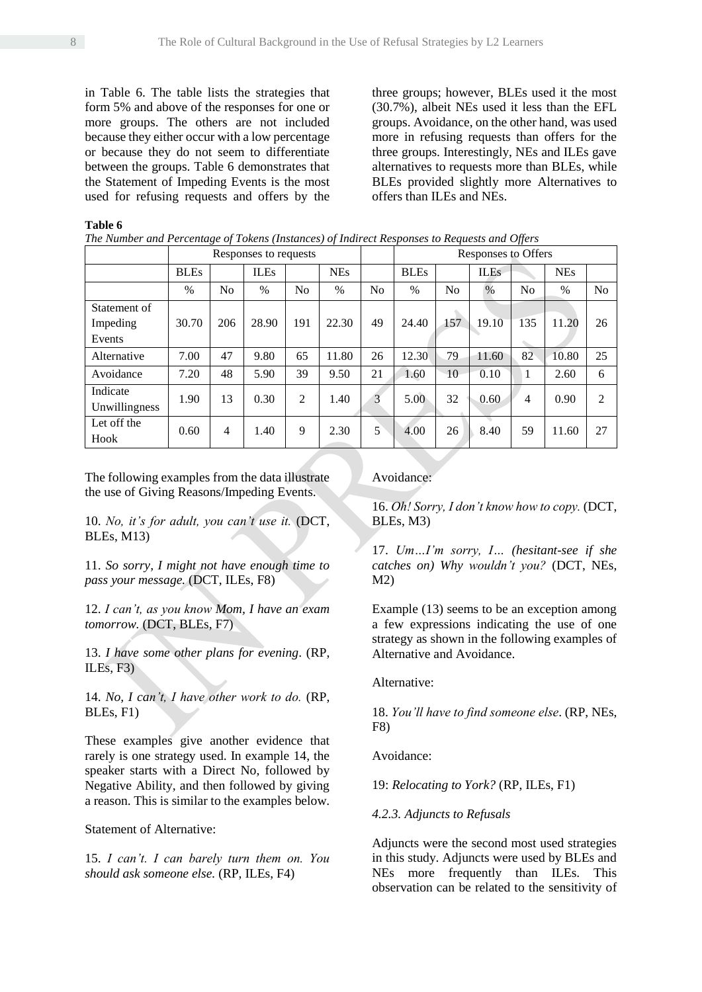in Table 6. The table lists the strategies that form 5% and above of the responses for one or more groups. The others are not included because they either occur with a low percentage or because they do not seem to differentiate between the groups. Table 6 demonstrates that the Statement of Impeding Events is the most used for refusing requests and offers by the three groups; however, BLEs used it the most (30.7%), albeit NEs used it less than the EFL groups. Avoidance, on the other hand, was used more in refusing requests than offers for the three groups. Interestingly, NEs and ILEs gave alternatives to requests more than BLEs, while BLEs provided slightly more Alternatives to offers than ILEs and NEs.

#### **Table 6**

*The Number and Percentage of Tokens (Instances) of Indirect Responses to Requests and Offers*

|               | Responses to requests |                |               |                |            |                | Responses to Offers |                |             |                |            |                |  |
|---------------|-----------------------|----------------|---------------|----------------|------------|----------------|---------------------|----------------|-------------|----------------|------------|----------------|--|
|               | <b>BLEs</b>           |                | <b>ILEs</b>   |                | <b>NEs</b> |                | <b>BLEs</b>         |                | <b>ILEs</b> |                | <b>NEs</b> |                |  |
|               | $\%$                  | No             | $\frac{0}{0}$ | N <sub>0</sub> | $\%$       | N <sub>0</sub> | $\frac{0}{0}$       | N <sub>0</sub> | $\%$        | N <sub>0</sub> | $\%$       | N <sub>0</sub> |  |
| Statement of  |                       |                |               |                |            |                |                     |                |             |                |            |                |  |
| Impeding      | 30.70                 | 206            | 28.90         | 191            | 22.30      | 49             | 24.40               | 157            | 19.10       | 135            | 11.20      | 26             |  |
| Events        |                       |                |               |                |            |                |                     |                |             |                |            |                |  |
| Alternative   | 7.00                  | 47             | 9.80          | 65             | 11.80      | 26             | 12.30               | 79             | 11.60       | 82             | 10.80      | 25             |  |
| Avoidance     | 7.20                  | 48             | 5.90          | 39             | 9.50       | 21             | 1.60                | 10             | 0.10        | 1              | 2.60       | 6              |  |
| Indicate      | 1.90                  | 13             | 0.30          | $\overline{2}$ | 1.40       | 3              | 5.00                | 32             | 0.60        | 4              | 0.90       | 2              |  |
| Unwillingness |                       |                |               |                |            |                |                     |                |             |                |            |                |  |
| Let off the   | 0.60                  | $\overline{4}$ | 1.40          | 9              | 2.30       | 5              | 4.00                | 26             | 8.40        | 59             | 11.60      | 27             |  |
| Hook          |                       |                |               |                |            |                |                     |                |             |                |            |                |  |

The following examples from the data illustrate the use of Giving Reasons/Impeding Events.

10. *No, it's for adult, you can't use it.* (DCT, BLEs, M13)

11. *So sorry, I might not have enough time to pass your message.* (DCT, ILEs, F8)

12. *I can't, as you know Mom, I have an exam tomorrow.* (DCT, BLEs, F7)

13. *I have some other plans for evening*. (RP, ILEs, F3)

14. *No, I can't, I have other work to do.* (RP, BLEs, F1)

These examples give another evidence that rarely is one strategy used. In example 14, the speaker starts with a Direct No, followed by Negative Ability, and then followed by giving a reason. This is similar to the examples below.

Statement of Alternative:

15. *I can't. I can barely turn them on. You should ask someone else.* (RP, ILEs, F4)

Avoidance:

16. *Oh! Sorry, I don't know how to copy.* (DCT, BLEs, M3)

17. *Um…I'm sorry, I… (hesitant-see if she catches on) Why wouldn't you?* (DCT, NEs, M2)

Example (13) seems to be an exception among a few expressions indicating the use of one strategy as shown in the following examples of Alternative and Avoidance.

Alternative:

18. *You'll have to find someone else*. (RP, NEs, F8)

Avoidance:

19: *Relocating to York?* (RP, ILEs, F1)

*4.2.3. Adjuncts to Refusals*

Adjuncts were the second most used strategies in this study. Adjuncts were used by BLEs and NEs more frequently than ILEs. This observation can be related to the sensitivity of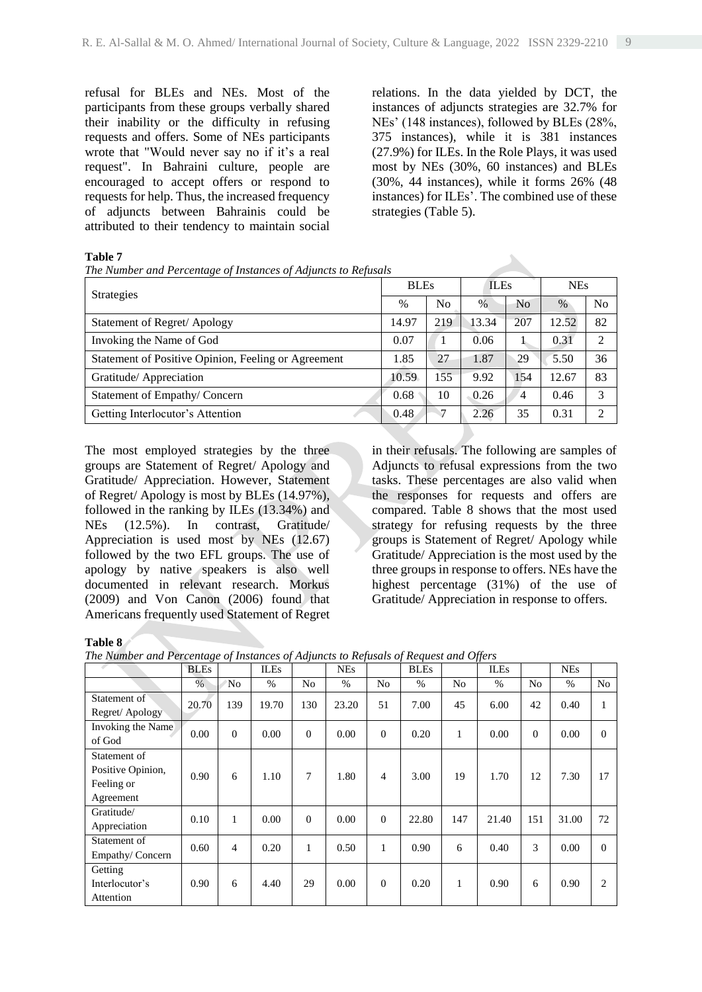refusal for BLEs and NEs. Most of the participants from these groups verbally shared their inability or the difficulty in refusing requests and offers. Some of NEs participants wrote that "Would never say no if it's a real request". In Bahraini culture, people are encouraged to accept offers or respond to requests for help. Thus, the increased frequency of adjuncts between Bahrainis could be attributed to their tendency to maintain social relations. In the data yielded by DCT, the instances of adjuncts strategies are 32.7% for NEs' (148 instances), followed by BLEs (28%, 375 instances), while it is 381 instances (27.9%) for ILEs. In the Role Plays, it was used most by NEs (30%, 60 instances) and BLEs (30%, 44 instances), while it forms 26% (48 instances) for ILEs'. The combined use of these strategies (Table 5).

#### **Table 7**

*The Number and Percentage of Instances of Adjuncts to Refusals*

| <b>Strategies</b>                                   | <b>BLEs</b> |                | <b>ILEs</b>   |                | <b>NEs</b> |    |  |
|-----------------------------------------------------|-------------|----------------|---------------|----------------|------------|----|--|
|                                                     | $\%$        | N <sub>0</sub> | $\frac{0}{0}$ | N <sub>0</sub> | $\%$       | No |  |
| Statement of Regret/Apology                         | 14.97       | 219            | 13.34         | 207            | 12.52      | 82 |  |
| Invoking the Name of God                            | 0.07        |                | 0.06          |                | 0.31       | っ  |  |
| Statement of Positive Opinion, Feeling or Agreement | 1.85        | 27             | 1.87          | 29             | 5.50       | 36 |  |
| Gratitude/ Appreciation                             | 10.59       | 155            | 9.92          | 154            | 12.67      | 83 |  |
| Statement of Empathy/Concern                        | 0.68        | 10             | 0.26          | $\overline{4}$ | 0.46       | 3  |  |
| Getting Interlocutor's Attention                    | 0.48        | 7              | 2.26          | 35             | 0.31       | ∍  |  |

The most employed strategies by the three groups are Statement of Regret/ Apology and Gratitude/ Appreciation. However, Statement of Regret/ Apology is most by BLEs (14.97%), followed in the ranking by ILEs (13.34%) and NEs (12.5%). In contrast, Gratitude/ Appreciation is used most by NEs (12.67) followed by the two EFL groups. The use of apology by native speakers is also well documented in relevant research. Morkus (2009) and Von Canon (2006) found that Americans frequently used Statement of Regret

in their refusals. The following are samples of Adjuncts to refusal expressions from the two tasks. These percentages are also valid when the responses for requests and offers are compared. Table 8 shows that the most used strategy for refusing requests by the three groups is Statement of Regret/ Apology while Gratitude/ Appreciation is the most used by the three groups in response to offers. NEs have the highest percentage (31%) of the use of Gratitude/ Appreciation in response to offers*.*

#### **Table 8**

*The Number and Percentage of Instances of Adjuncts to Refusals of Request and Offers*

|                   | <b>BLEs</b> |          | <b>ILEs</b> |          | <b>NEs</b> |                | <b>BLEs</b> |     | <b>ILEs</b> |                | <b>NEs</b> |                |
|-------------------|-------------|----------|-------------|----------|------------|----------------|-------------|-----|-------------|----------------|------------|----------------|
|                   | $\%$        | 'No      | $\%$        | No       | $\%$       | No             | $\%$        | No  | $\%$        | N <sub>o</sub> | $\%$       | N <sub>o</sub> |
| Statement of      | 20.70       | 139      | 19.70       | 130      | 23.20      | 51             | 7.00        | 45  | 6.00        | 42             | 0.40       |                |
| Regret/ Apology   |             |          |             |          |            |                |             |     |             |                |            |                |
| Invoking the Name | 0.00        | $\Omega$ | 0.00        | $\theta$ | 0.00       | $\mathbf{0}$   | 0.20        | 1   | 0.00        | $\Omega$       | 0.00       | $\Omega$       |
| of God            |             |          |             |          |            |                |             |     |             |                |            |                |
| Statement of      |             |          |             |          |            |                |             |     |             |                |            |                |
| Positive Opinion, | 0.90        | 6        | 1.10        | 7        | 1.80       | $\overline{4}$ | 3.00        | 19  | 1.70        | 12             | 7.30       | 17             |
| Feeling or        |             |          |             |          |            |                |             |     |             |                |            |                |
| Agreement         |             |          |             |          |            |                |             |     |             |                |            |                |
| Gratitude/        | 0.10        | 1        | 0.00        | $\theta$ | 0.00       | $\Omega$       | 22.80       | 147 | 21.40       | 151            | 31.00      | 72             |
| Appreciation      |             |          |             |          |            |                |             |     |             |                |            |                |
| Statement of      | 0.60        | 4        | 0.20        | 1        | 0.50       | 1              | 0.90        | 6   | 0.40        | 3              | 0.00       | $\Omega$       |
| Empathy/Concern   |             |          |             |          |            |                |             |     |             |                |            |                |
| Getting           |             |          |             |          |            |                |             |     |             |                |            |                |
| Interlocutor's    | 0.90        | 6        | 4.40        | 29       | 0.00       | $\Omega$       | 0.20        | 1   | 0.90        | 6              | 0.90       | $\mathfrak{D}$ |
| Attention         |             |          |             |          |            |                |             |     |             |                |            |                |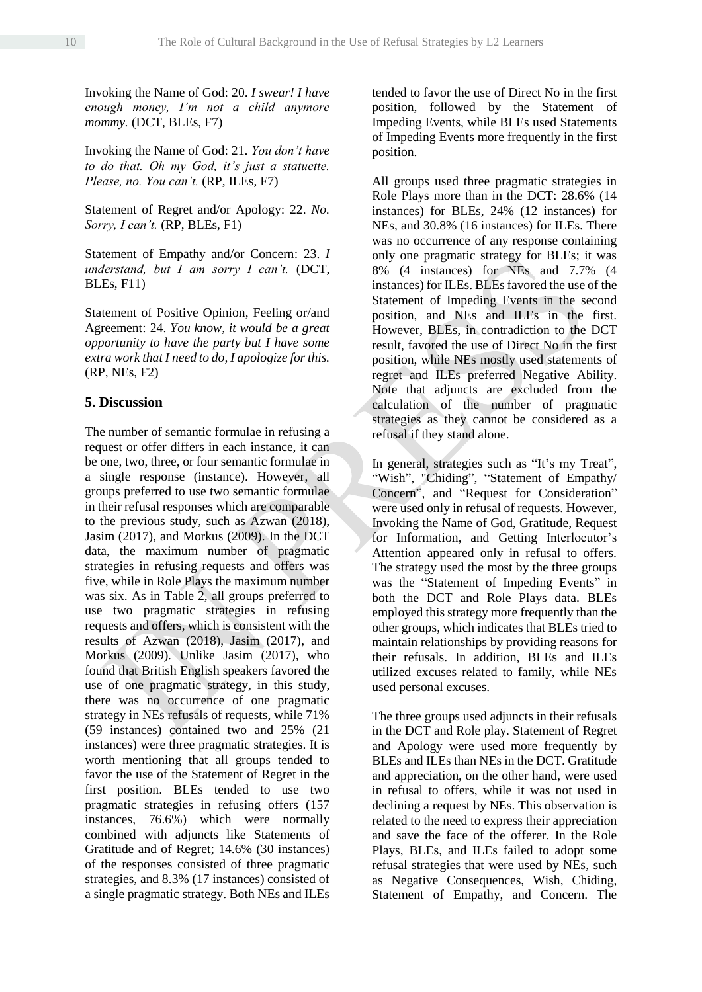Invoking the Name of God: 20. *I swear! I have enough money, I'm not a child anymore mommy.* (DCT, BLEs, F7)

Invoking the Name of God: 21. *You don't have to do that. Oh my God, it's just a statuette. Please, no. You can't.* (RP, ILEs, F7)

Statement of Regret and/or Apology: 22. *No. Sorry, I can't.* (RP, BLEs, F1)

Statement of Empathy and/or Concern: 23. *I understand, but I am sorry I can't.* (DCT, BLEs, F11)

Statement of Positive Opinion, Feeling or/and Agreement: 24. *You know, it would be a great opportunity to have the party but I have some extra work that I need to do, I apologize for this.*  (RP, NEs, F2)

### **5. Discussion**

The number of semantic formulae in refusing a request or offer differs in each instance, it can be one, two, three, or four semantic formulae in a single response (instance). However, all groups preferred to use two semantic formulae in their refusal responses which are comparable to the previous study, such as Azwan (2018), Jasim (2017), and Morkus (2009). In the DCT data, the maximum number of pragmatic strategies in refusing requests and offers was five, while in Role Plays the maximum number was six. As in Table 2, all groups preferred to use two pragmatic strategies in refusing requests and offers, which is consistent with the results of Azwan (2018), Jasim (2017), and Morkus (2009). Unlike Jasim (2017), who found that British English speakers favored the use of one pragmatic strategy, in this study, there was no occurrence of one pragmatic strategy in NEs refusals of requests, while 71% (59 instances) contained two and 25% (21 instances) were three pragmatic strategies. It is worth mentioning that all groups tended to favor the use of the Statement of Regret in the first position. BLEs tended to use two pragmatic strategies in refusing offers (157 instances, 76.6%) which were normally combined with adjuncts like Statements of Gratitude and of Regret; 14.6% (30 instances) of the responses consisted of three pragmatic strategies, and 8.3% (17 instances) consisted of a single pragmatic strategy. Both NEs and ILEs

tended to favor the use of Direct No in the first position, followed by the Statement of Impeding Events, while BLEs used Statements of Impeding Events more frequently in the first position.

All groups used three pragmatic strategies in Role Plays more than in the DCT: 28.6% (14 instances) for BLEs, 24% (12 instances) for NEs, and 30.8% (16 instances) for ILEs. There was no occurrence of any response containing only one pragmatic strategy for BLEs; it was 8% (4 instances) for NEs and 7.7% (4 instances) for ILEs. BLEs favored the use of the Statement of Impeding Events in the second position, and NEs and ILEs in the first. However, BLEs, in contradiction to the DCT result, favored the use of Direct No in the first position, while NEs mostly used statements of regret and ILEs preferred Negative Ability. Note that adjuncts are excluded from the calculation of the number of pragmatic strategies as they cannot be considered as a refusal if they stand alone.

In general, strategies such as "It's my Treat", "Wish", "Chiding", "Statement of Empathy/ Concern", and "Request for Consideration" were used only in refusal of requests. However, Invoking the Name of God, Gratitude, Request for Information, and Getting Interlocutor's Attention appeared only in refusal to offers. The strategy used the most by the three groups was the "Statement of Impeding Events" in both the DCT and Role Plays data. BLEs employed this strategy more frequently than the other groups, which indicates that BLEs tried to maintain relationships by providing reasons for their refusals. In addition, BLEs and ILEs utilized excuses related to family, while NEs used personal excuses.

The three groups used adjuncts in their refusals in the DCT and Role play. Statement of Regret and Apology were used more frequently by BLEs and ILEs than NEs in the DCT. Gratitude and appreciation, on the other hand, were used in refusal to offers, while it was not used in declining a request by NEs. This observation is related to the need to express their appreciation and save the face of the offerer. In the Role Plays, BLEs, and ILEs failed to adopt some refusal strategies that were used by NEs, such as Negative Consequences, Wish, Chiding, Statement of Empathy, and Concern. The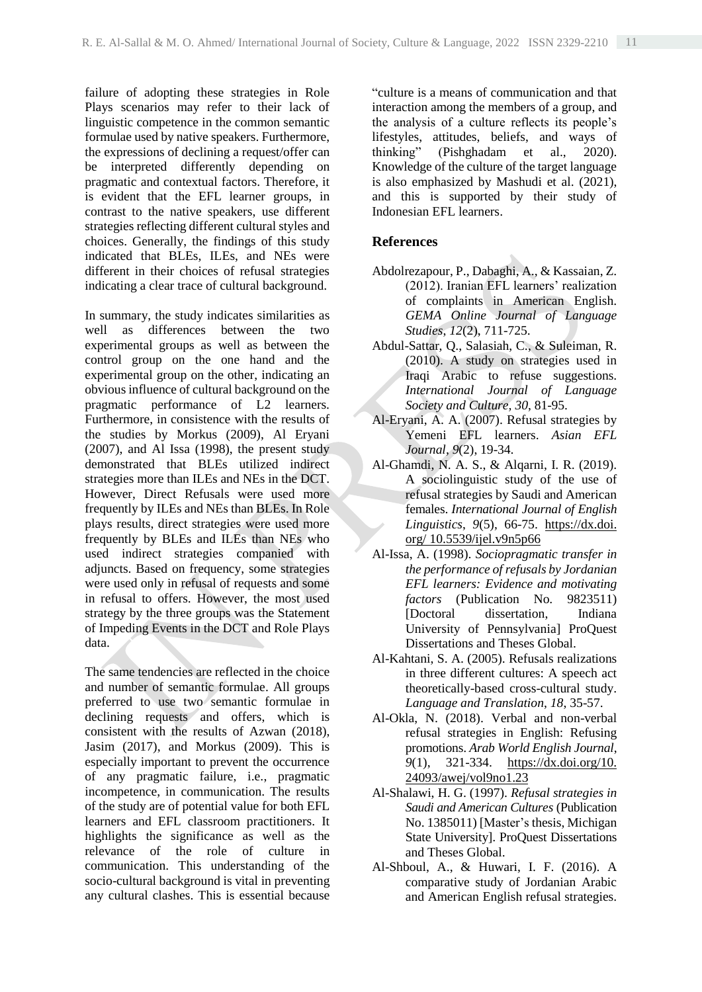failure of adopting these strategies in Role Plays scenarios may refer to their lack of linguistic competence in the common semantic formulae used by native speakers. Furthermore, the expressions of declining a request/offer can be interpreted differently depending on pragmatic and contextual factors. Therefore, it is evident that the EFL learner groups, in contrast to the native speakers, use different strategies reflecting different cultural styles and choices. Generally, the findings of this study indicated that BLEs, ILEs, and NEs were different in their choices of refusal strategies indicating a clear trace of cultural background.

In summary, the study indicates similarities as well as differences between the two experimental groups as well as between the control group on the one hand and the experimental group on the other, indicating an obvious influence of cultural background on the pragmatic performance of L2 learners. Furthermore, in consistence with the results of the studies by Morkus (2009), Al Eryani (2007), and Al Issa (1998), the present study demonstrated that BLEs utilized indirect strategies more than ILEs and NEs in the DCT. However, Direct Refusals were used more frequently by ILEs and NEs than BLEs. In Role plays results, direct strategies were used more frequently by BLEs and ILEs than NEs who used indirect strategies companied with adjuncts. Based on frequency, some strategies were used only in refusal of requests and some in refusal to offers. However, the most used strategy by the three groups was the Statement of Impeding Events in the DCT and Role Plays data.

The same tendencies are reflected in the choice and number of semantic formulae. All groups preferred to use two semantic formulae in declining requests and offers, which is consistent with the results of Azwan (2018), Jasim (2017), and Morkus (2009). This is especially important to prevent the occurrence of any pragmatic failure, i.e., pragmatic incompetence, in communication. The results of the study are of potential value for both EFL learners and EFL classroom practitioners. It highlights the significance as well as the relevance of the role of culture in communication. This understanding of the socio-cultural background is vital in preventing any cultural clashes. This is essential because

"culture is a means of communication and that interaction among the members of a group, and the analysis of a culture reflects its people's lifestyles, attitudes, beliefs, and ways of thinking" (Pishghadam et al., 2020). Knowledge of the culture of the target language is also emphasized by Mashudi et al. (2021), and this is supported by their study of Indonesian EFL learners.

## **References**

- Abdolrezapour, P., Dabaghi, A., & Kassaian, Z. (2012). Iranian EFL learners' realization of complaints in American English. *GEMA Online Journal of Language Studies*, *12*(2), 711-725.
- Abdul-Sattar, Q., Salasiah, C., & Suleiman, R. (2010). A study on strategies used in Iraqi Arabic to refuse suggestions. *International Journal of Language Society and Culture, 30*, 81-95.
- Al-Eryani, A. A. (2007). Refusal strategies by Yemeni EFL learners. *Asian EFL Journal*, *9*(2), 19-34.
- Al-Ghamdi, N. A. S., & Alqarni, I. R. (2019). A sociolinguistic study of the use of refusal strategies by Saudi and American females. *International Journal of English Linguistics*, *9*(5), 66-75. [https://dx.doi.](https://dx.doi/) org/ [10.5539/ijel.v9n5p66](https://doi.org/10.5539/ijel.v9n5p66)
- Al-Issa, A. (1998). *Sociopragmatic transfer in the performance of refusals by Jordanian EFL learners: Evidence and motivating factors* (Publication No. 9823511) [Doctoral dissertation, Indiana University of Pennsylvania] ProQuest Dissertations and Theses Global.
- Al-Kahtani, S. A. (2005). Refusals realizations in three different cultures: A speech act theoretically-based cross-cultural study. *Language and Translation*, *18*, 35-57.
- Al-Okla, N. (2018). Verbal and non-verbal refusal strategies in English: Refusing promotions. *Arab World English Journal*, *9*(1), 321-334. [https://dx.doi.org/10.](https://dx.doi.org/10.%2024093/awej/vol9no1.23) [24093/awej/vol9no1.23](https://dx.doi.org/10.%2024093/awej/vol9no1.23)
- Al-Shalawi, H. G. (1997). *Refusal strategies in Saudi and American Cultures* (Publication No. 1385011) [Master's thesis, Michigan State University]. ProQuest Dissertations and Theses Global.
- Al-Shboul, A., & Huwari, I. F. (2016). A comparative study of Jordanian Arabic and American English refusal strategies.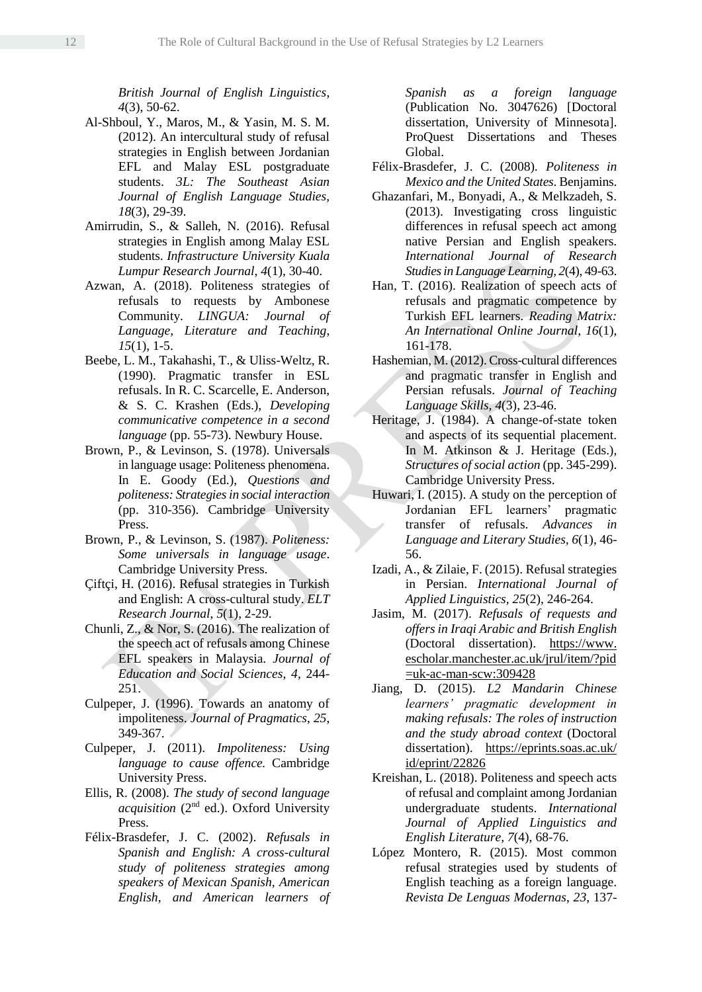*British Journal of English Linguistics*, *4*(3), 50-62.

- Al-Shboul, Y., Maros, M., & Yasin, M. S. M. (2012). An intercultural study of refusal strategies in English between Jordanian EFL and Malay ESL postgraduate students. *3L: The Southeast Asian Journal of English Language Studies, 18*(3), 29-39.
- Amirrudin, S., & Salleh, N. (2016). Refusal strategies in English among Malay ESL students. *Infrastructure University Kuala Lumpur Research Journal*, *4*(1), 30-40.
- Azwan, A. (2018). Politeness strategies of refusals to requests by Ambonese Community. *LINGUA: Journal of Language, Literature and Teaching*, *15*(1), 1-5.
- Beebe, L. M., Takahashi, T., & Uliss-Weltz, R. (1990). Pragmatic transfer in ESL refusals. In R. C. Scarcelle, E. Anderson, & S. C. Krashen (Eds.), *Developing communicative competence in a second language* (pp. 55-73). Newbury House.
- Brown, P., & Levinson, S. (1978). Universals in language usage: Politeness phenomena. In E. Goody (Ed.), *Questions and politeness: Strategies in social interaction* (pp. 310-356). Cambridge University Press.
- Brown, P., & Levinson, S. (1987). *Politeness: Some universals in language usage*. Cambridge University Press.
- Çiftçi, H. (2016). Refusal strategies in Turkish and English: A cross-cultural study. *ELT Research Journal*, *5*(1), 2-29.
- Chunli, Z., & Nor, S. (2016). The realization of the speech act of refusals among Chinese EFL speakers in Malaysia. *Journal of Education and Social Sciences, 4*, 244- 251.
- Culpeper, J. (1996). Towards an anatomy of impoliteness. *Journal of Pragmatics*, *25*, 349-367.
- Culpeper, J. (2011). *Impoliteness: Using language to cause offence.* Cambridge University Press.
- Ellis, R. (2008). *The study of second language acquisition* (2nd ed.). Oxford University Press.
- Félix-Brasdefer, J. C. (2002). *Refusals in Spanish and English: A cross-cultural study of politeness strategies among speakers of Mexican Spanish, American English, and American learners of*

*Spanish as a foreign language*  (Publication No. 3047626) [Doctoral dissertation, University of Minnesota]. ProQuest Dissertations and Theses Global.

- Félix-Brasdefer, J. C. (2008)*. Politeness in Mexico and the United States*. Benjamins.
- Ghazanfari, M., Bonyadi, A., & Melkzadeh, S. (2013). Investigating cross linguistic differences in refusal speech act among native Persian and English speakers. *International Journal of Research Studies in Language Learning, 2*(4), 49-63.
- Han, T. (2016). Realization of speech acts of refusals and pragmatic competence by Turkish EFL learners. *Reading Matrix: An International Online Journal, 16*(1), 161-178.
- Hashemian, M. (2012). Cross-cultural differences and pragmatic transfer in English and Persian refusals. *Journal of Teaching Language Skills, 4*(3), 23-46.
- Heritage, J. (1984). A change-of-state token and aspects of its sequential placement. In M. Atkinson & J. Heritage (Eds.), *Structures of social action* (pp. 345-299). Cambridge University Press.
- Huwari, I. (2015). A study on the perception of Jordanian EFL learners' pragmatic transfer of refusals. *Advances in Language and Literary Studies, 6*(1), 46- 56.
- Izadi, A., & Zilaie, F. (2015). Refusal strategies in Persian. *International Journal of Applied Linguistics, 25*(2), 246-264.
- Jasim, M. (2017). *Refusals of requests and offers in Iraqi Arabic and British English* (Doctoral dissertation). https://www. escholar.manchester.ac.uk/jrul/item/?pid =uk-ac-man-scw:309428
- Jiang, D. (2015). *L2 Mandarin Chinese learners' pragmatic development in making refusals: The roles of instruction and the study abroad context* (Doctoral dissertation). [https://eprints.soas.ac.uk/](https://eprints.soas.ac.uk/%20id/eprint/22826) [id/eprint/22826](https://eprints.soas.ac.uk/%20id/eprint/22826)
- Kreishan, L. (2018). Politeness and speech acts of refusal and complaint among Jordanian undergraduate students. *International Journal of Applied Linguistics and English Literature, 7*(4), 68-76.
- López Montero, R. (2015). Most common refusal strategies used by students of English teaching as a foreign language. *Revista De Lenguas Modernas*, *23*, 137-